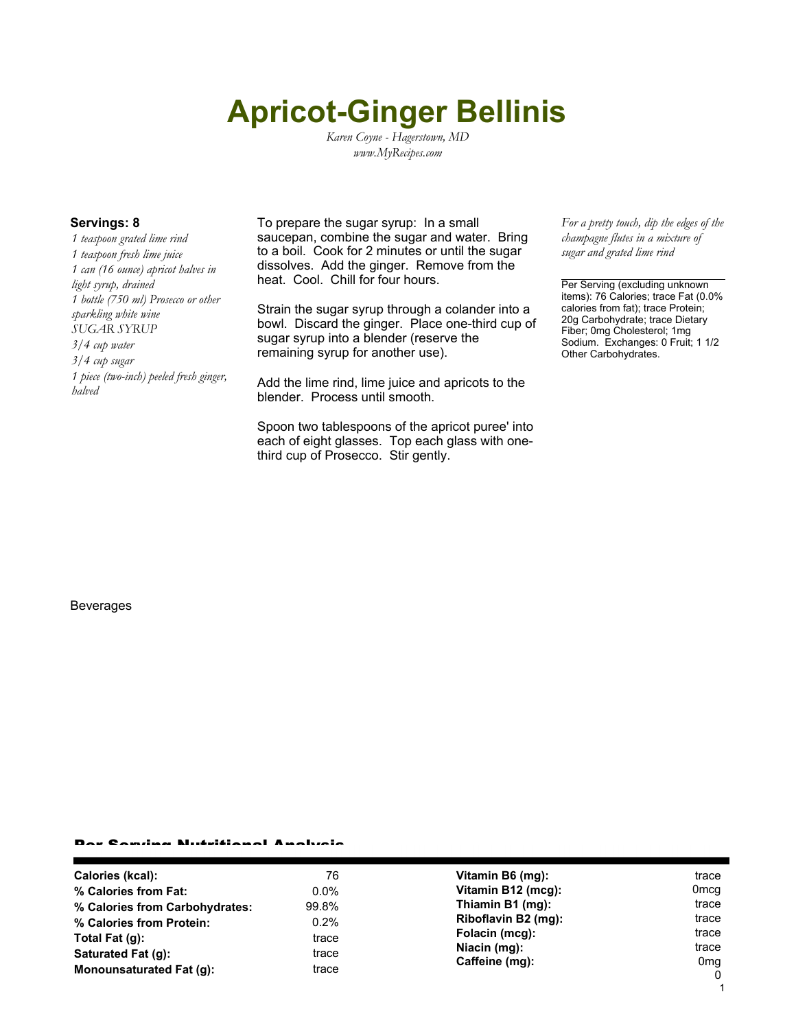# **Apricot-Ginger Bellinis**

*Karen Coyne - Hagerstown, MD www.MyRecipes.com*

*1 teaspoon grated lime rind 1 teaspoon fresh lime juice 1 can (16 ounce) apricot halves in light syrup, drained 1 bottle (750 ml) Prosecco or other sparkling white wine SUGAR SYRUP 3/4 cup water 3/4 cup sugar 1 piece (two-inch) peeled fresh ginger, halved*

**Servings: 8** To prepare the sugar syrup: In a small saucepan, combine the sugar and water. Bring to a boil. Cook for 2 minutes or until the sugar dissolves. Add the ginger. Remove from the heat. Cool. Chill for four hours.

> Strain the sugar syrup through a colander into a bowl. Discard the ginger. Place one-third cup of sugar syrup into a blender (reserve the remaining syrup for another use).

Add the lime rind, lime juice and apricots to the blender. Process until smooth.

Spoon two tablespoons of the apricot puree' into each of eight glasses. Top each glass with onethird cup of Prosecco. Stir gently.

*For a pretty touch, dip the edges of the champagne flutes in a mixture of sugar and grated lime rind*

Per Serving (excluding unknown items): 76 Calories; trace Fat (0.0% calories from fat); trace Protein; 20g Carbohydrate; trace Dietary Fiber; 0mg Cholesterol; 1mg Sodium. Exchanges: 0 Fruit; 1 1/2 Other Carbohydrates.

#### Beverages

#### Per Serving Nutritional Analysis

| Calories (kcal):               | 76      | Vitamin B6 (mg):                                                                            | trace               |
|--------------------------------|---------|---------------------------------------------------------------------------------------------|---------------------|
| % Calories from Fat:           | $0.0\%$ | Vitamin B12 (mcg):                                                                          | 0 <sub>mcg</sub>    |
| % Calories from Carbohydrates: | 99.8%   | Thiamin B1 (mg):<br>Riboflavin B2 (mg):<br>Folacin (mcg):<br>Niacin (mg):<br>Caffeine (mg): | trace               |
| % Calories from Protein:       | 0.2%    |                                                                                             | trace               |
| Total Fat (q):                 | trace   |                                                                                             | trace               |
| Saturated Fat (g):             | trace   |                                                                                             | trace               |
| Monounsaturated Fat (g):       | trace   |                                                                                             | 0mg<br>$\mathbf{0}$ |